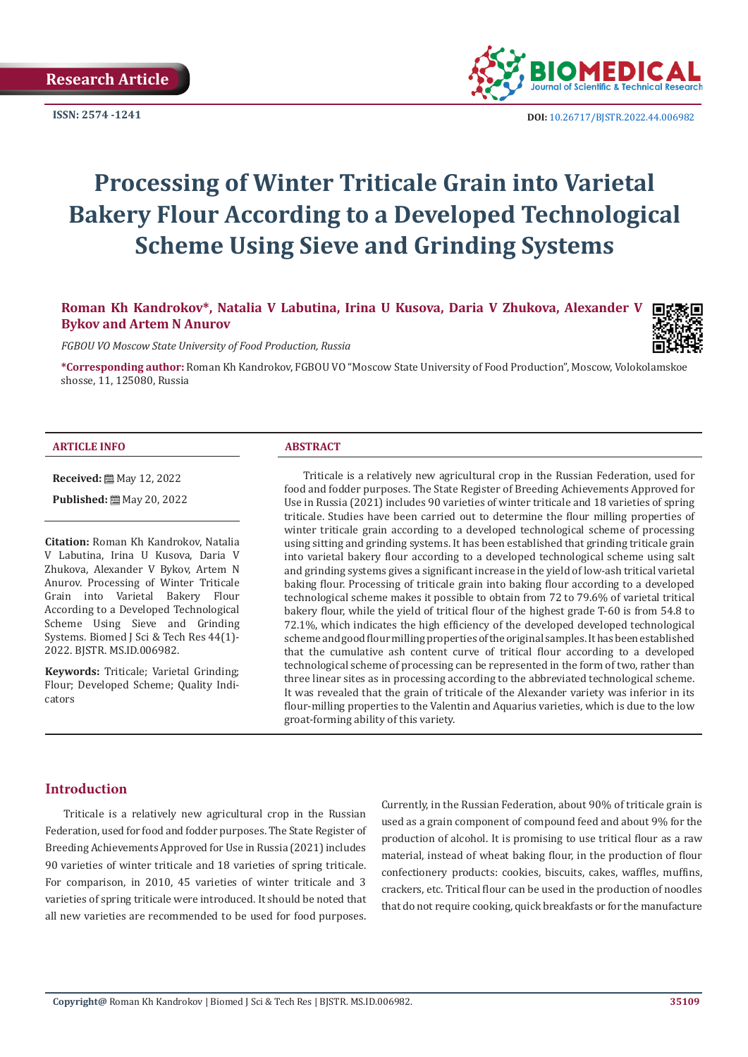

**ISSN: 2574 -1241 DOI:** [10.26717/BJSTR.2022.44.006982](https://dx.doi.org/10.26717/BJSTR.2022.44.006982)

# **Processing of Winter Triticale Grain into Varietal Bakery Flour According to a Developed Technological Scheme Using Sieve and Grinding Systems**

**Roman Kh Kandrokov\*, Natalia V Labutina, Irina U Kusova, Daria V Zhukova, Alexander V Bykov and Artem N Anurov**

*FGBOU VO Moscow State University of Food Production, Russia*

**\*Corresponding author:** Roman Kh Kandrokov, FGBOU VO "Moscow State University of Food Production", Moscow, Volokolamskoe shosse, 11, 125080, Russia

## **ARTICLE INFO ABSTRACT**

**Received:** ■ May 12, 2022 **Published:** 圖 May 20, 2022

**Citation:** Roman Kh Kandrokov, Natalia V Labutina, Irina U Kusova, Daria V Zhukova, Alexander V Bykov, Artem N Anurov. Processing of Winter Triticale Grain into Varietal Bakery Flour According to a Developed Technological Scheme Using Sieve and Grinding Systems. Biomed J Sci & Tech Res 44(1)- 2022. BJSTR. MS.ID.006982.

**Keywords:** Triticale; Varietal Grinding; Flour; Developed Scheme; Quality Indicators

Triticale is a relatively new agricultural crop in the Russian Federation, used for food and fodder purposes. The State Register of Breeding Achievements Approved for Use in Russia (2021) includes 90 varieties of winter triticale and 18 varieties of spring triticale. Studies have been carried out to determine the flour milling properties of winter triticale grain according to a developed technological scheme of processing using sitting and grinding systems. It has been established that grinding triticale grain into varietal bakery flour according to a developed technological scheme using salt and grinding systems gives a significant increase in the yield of low-ash tritical varietal baking flour. Processing of triticale grain into baking flour according to a developed technological scheme makes it possible to obtain from 72 to 79.6% of varietal tritical bakery flour, while the yield of tritical flour of the highest grade T-60 is from 54.8 to 72.1%, which indicates the high efficiency of the developed developed technological scheme and good flour milling properties of the original samples. It has been established that the cumulative ash content curve of tritical flour according to a developed technological scheme of processing can be represented in the form of two, rather than three linear sites as in processing according to the abbreviated technological scheme. It was revealed that the grain of triticale of the Alexander variety was inferior in its flour-milling properties to the Valentin and Aquarius varieties, which is due to the low groat-forming ability of this variety.

# **Introduction**

Triticale is a relatively new agricultural crop in the Russian Federation, used for food and fodder purposes. The State Register of Breeding Achievements Approved for Use in Russia (2021) includes 90 varieties of winter triticale and 18 varieties of spring triticale. For comparison, in 2010, 45 varieties of winter triticale and 3 varieties of spring triticale were introduced. It should be noted that all new varieties are recommended to be used for food purposes.

Currently, in the Russian Federation, about 90% of triticale grain is used as a grain component of compound feed and about 9% for the production of alcohol. It is promising to use tritical flour as a raw material, instead of wheat baking flour, in the production of flour confectionery products: cookies, biscuits, cakes, waffles, muffins, crackers, etc. Tritical flour can be used in the production of noodles that do not require cooking, quick breakfasts or for the manufacture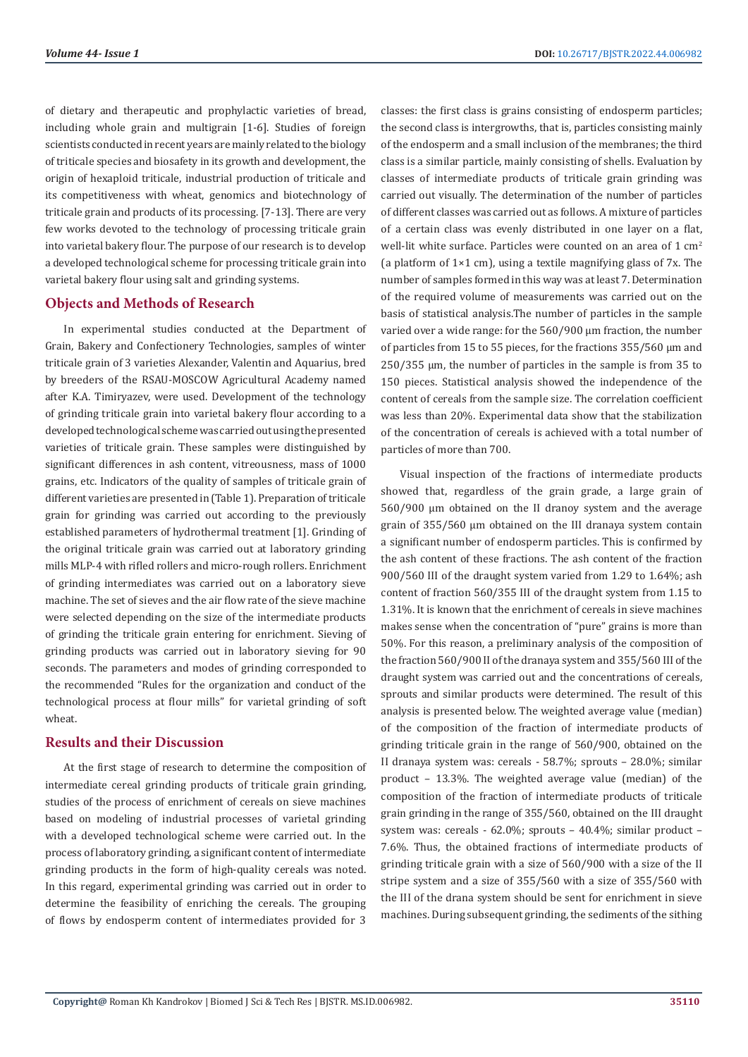of dietary and therapeutic and prophylactic varieties of bread, including whole grain and multigrain [1-6]. Studies of foreign scientists conducted in recent years are mainly related to the biology of triticale species and biosafety in its growth and development, the origin of hexaploid triticale, industrial production of triticale and its competitiveness with wheat, genomics and biotechnology of triticale grain and products of its processing. [7-13]. There are very few works devoted to the technology of processing triticale grain into varietal bakery flour. The purpose of our research is to develop a developed technological scheme for processing triticale grain into varietal bakery flour using salt and grinding systems.

# **Objects and Methods of Research**

In experimental studies conducted at the Department of Grain, Bakery and Confectionery Technologies, samples of winter triticale grain of 3 varieties Alexander, Valentin and Aquarius, bred by breeders of the RSAU-MOSCOW Agricultural Academy named after K.A. Timiryazev, were used. Development of the technology of grinding triticale grain into varietal bakery flour according to a developed technological scheme was carried out using the presented varieties of triticale grain. These samples were distinguished by significant differences in ash content, vitreousness, mass of 1000 grains, etc. Indicators of the quality of samples of triticale grain of different varieties are presented in (Table 1). Preparation of triticale grain for grinding was carried out according to the previously established parameters of hydrothermal treatment [1]. Grinding of the original triticale grain was carried out at laboratory grinding mills MLP-4 with rifled rollers and micro-rough rollers. Enrichment of grinding intermediates was carried out on a laboratory sieve machine. The set of sieves and the air flow rate of the sieve machine were selected depending on the size of the intermediate products of grinding the triticale grain entering for enrichment. Sieving of grinding products was carried out in laboratory sieving for 90 seconds. The parameters and modes of grinding corresponded to the recommended "Rules for the organization and conduct of the technological process at flour mills" for varietal grinding of soft wheat.

# **Results and their Discussion**

At the first stage of research to determine the composition of intermediate cereal grinding products of triticale grain grinding, studies of the process of enrichment of cereals on sieve machines based on modeling of industrial processes of varietal grinding with a developed technological scheme were carried out. In the process of laboratory grinding, a significant content of intermediate grinding products in the form of high-quality cereals was noted. In this regard, experimental grinding was carried out in order to determine the feasibility of enriching the cereals. The grouping of flows by endosperm content of intermediates provided for 3

classes: the first class is grains consisting of endosperm particles; the second class is intergrowths, that is, particles consisting mainly of the endosperm and a small inclusion of the membranes; the third class is a similar particle, mainly consisting of shells. Evaluation by classes of intermediate products of triticale grain grinding was carried out visually. The determination of the number of particles of different classes was carried out as follows. A mixture of particles of a certain class was evenly distributed in one layer on a flat, well-lit white surface. Particles were counted on an area of 1 cm<sup>2</sup> (a platform of  $1\times1$  cm), using a textile magnifying glass of 7x. The number of samples formed in this way was at least 7. Determination of the required volume of measurements was carried out on the basis of statistical analysis.The number of particles in the sample varied over a wide range: for the 560/900 μm fraction, the number of particles from 15 to 55 pieces, for the fractions 355/560 μm and 250/355 μm, the number of particles in the sample is from 35 to 150 pieces. Statistical analysis showed the independence of the content of cereals from the sample size. The correlation coefficient was less than 20%. Experimental data show that the stabilization of the concentration of cereals is achieved with a total number of particles of more than 700.

Visual inspection of the fractions of intermediate products showed that, regardless of the grain grade, a large grain of 560/900 μm obtained on the II dranoy system and the average grain of 355/560 μm obtained on the III dranaya system contain a significant number of endosperm particles. This is confirmed by the ash content of these fractions. The ash content of the fraction 900/560 III of the draught system varied from 1.29 to 1.64%; ash content of fraction 560/355 III of the draught system from 1.15 to 1.31%. It is known that the enrichment of cereals in sieve machines makes sense when the concentration of "pure" grains is more than 50%. For this reason, a preliminary analysis of the composition of the fraction 560/900 II of the dranaya system and 355/560 III of the draught system was carried out and the concentrations of cereals, sprouts and similar products were determined. The result of this analysis is presented below. The weighted average value (median) of the composition of the fraction of intermediate products of grinding triticale grain in the range of 560/900, obtained on the II dranaya system was: cereals - 58.7%; sprouts – 28.0%; similar product – 13.3%. The weighted average value (median) of the composition of the fraction of intermediate products of triticale grain grinding in the range of 355/560, obtained on the III draught system was: cereals - 62.0%; sprouts – 40.4%; similar product – 7.6%. Thus, the obtained fractions of intermediate products of grinding triticale grain with a size of 560/900 with a size of the II stripe system and a size of 355/560 with a size of 355/560 with the III of the drana system should be sent for enrichment in sieve machines. During subsequent grinding, the sediments of the sithing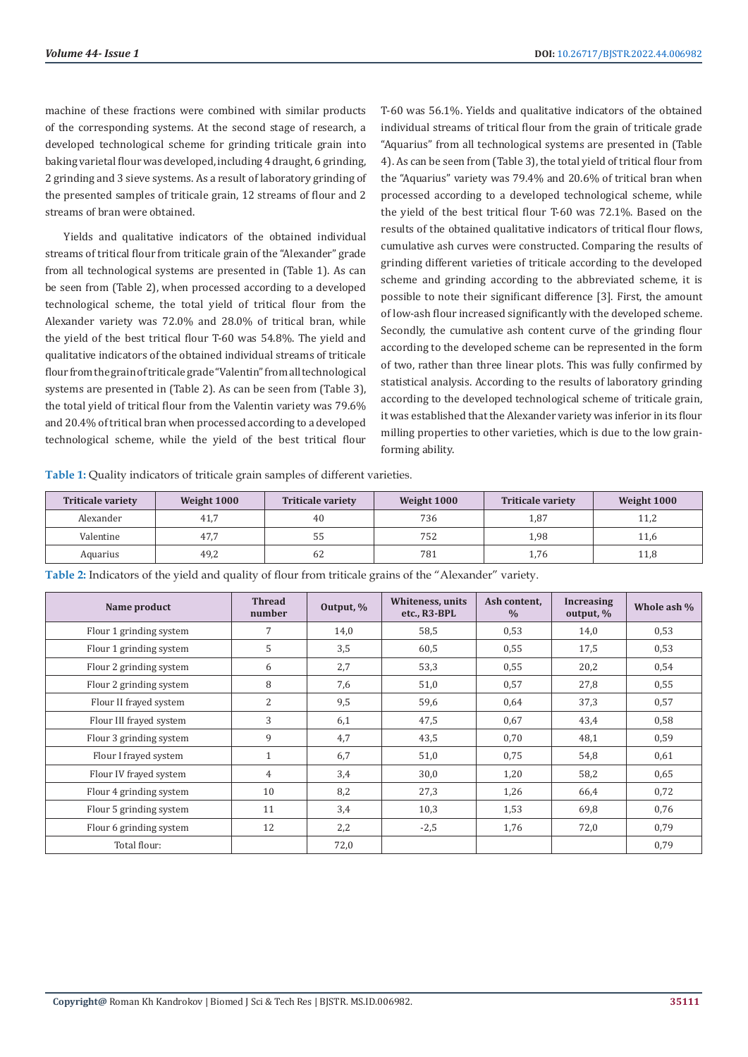machine of these fractions were combined with similar products of the corresponding systems. At the second stage of research, a developed technological scheme for grinding triticale grain into baking varietal flour was developed, including 4 draught, 6 grinding, 2 grinding and 3 sieve systems. As a result of laboratory grinding of the presented samples of triticale grain, 12 streams of flour and 2 streams of bran were obtained.

Yields and qualitative indicators of the obtained individual streams of tritical flour from triticale grain of the "Alexander" grade from all technological systems are presented in (Table 1). As can be seen from (Table 2), when processed according to a developed technological scheme, the total yield of tritical flour from the Alexander variety was 72.0% and 28.0% of tritical bran, while the yield of the best tritical flour T-60 was 54.8%. The yield and qualitative indicators of the obtained individual streams of triticale flour from the grain of triticale grade "Valentin" from all technological systems are presented in (Table 2). As can be seen from (Table 3), the total yield of tritical flour from the Valentin variety was 79.6% and 20.4% of tritical bran when processed according to a developed technological scheme, while the yield of the best tritical flour T-60 was 56.1%. Yields and qualitative indicators of the obtained individual streams of tritical flour from the grain of triticale grade "Aquarius" from all technological systems are presented in (Table 4). As can be seen from (Table 3), the total yield of tritical flour from the "Aquarius" variety was 79.4% and 20.6% of tritical bran when processed according to a developed technological scheme, while the yield of the best tritical flour T-60 was 72.1%. Based on the results of the obtained qualitative indicators of tritical flour flows, cumulative ash curves were constructed. Comparing the results of grinding different varieties of triticale according to the developed scheme and grinding according to the abbreviated scheme, it is possible to note their significant difference [3]. First, the amount of low-ash flour increased significantly with the developed scheme. Secondly, the cumulative ash content curve of the grinding flour according to the developed scheme can be represented in the form of two, rather than three linear plots. This was fully confirmed by statistical analysis. According to the results of laboratory grinding according to the developed technological scheme of triticale grain, it was established that the Alexander variety was inferior in its flour milling properties to other varieties, which is due to the low grainforming ability.

**Table 1:** Quality indicators of triticale grain samples of different varieties.

| <b>Triticale variety</b> | Weight 1000 | <b>Triticale variety</b> | Weight 1000 | <b>Triticale variety</b> | Weight 1000 |
|--------------------------|-------------|--------------------------|-------------|--------------------------|-------------|
| Alexander                | 41,7        | 40                       | 736         | 1,87                     | 11,2        |
| Valentine                | 47.7        | 55                       | 752         | 1.98                     | 11,6        |
| Aquarius                 | 49,2        | 62                       | 781         | 1,76                     | 11,8        |

**Table 2:** Indicators of the yield and quality of flour from triticale grains of the "Alexander" variety.

| Name product            | <b>Thread</b><br>number | Output, % | <b>Whiteness</b> , units<br>etc., R3-BPL | Ash content,<br>$\frac{0}{0}$ | <b>Increasing</b><br>output, $\%$ | Whole ash % |
|-------------------------|-------------------------|-----------|------------------------------------------|-------------------------------|-----------------------------------|-------------|
| Flour 1 grinding system | 7                       | 14,0      | 58,5                                     | 0,53                          | 14,0                              | 0,53        |
| Flour 1 grinding system | 5                       | 3,5       | 60,5                                     | 0,55                          | 17,5                              | 0,53        |
| Flour 2 grinding system | 6                       | 2,7       | 53,3                                     | 0,55                          | 20,2                              | 0,54        |
| Flour 2 grinding system | 8                       | 7,6       | 51,0                                     | 0,57                          | 27,8                              | 0,55        |
| Flour II frayed system  | $\overline{2}$          | 9,5       | 59,6                                     | 0,64                          | 37,3                              | 0,57        |
| Flour III frayed system | 3                       | 6,1       | 47,5                                     | 0,67                          | 43,4                              | 0,58        |
| Flour 3 grinding system | 9                       | 4,7       | 43,5                                     | 0,70                          | 48,1                              | 0,59        |
| Flour I frayed system   | $\mathbf{1}$            | 6,7       | 51,0                                     | 0,75                          | 54,8                              | 0,61        |
| Flour IV frayed system  | 4                       | 3,4       | 30,0                                     | 1,20                          | 58,2                              | 0,65        |
| Flour 4 grinding system | 10                      | 8,2       | 27,3                                     | 1,26                          | 66,4                              | 0,72        |
| Flour 5 grinding system | 11                      | 3,4       | 10,3                                     | 1,53                          | 69,8                              | 0,76        |
| Flour 6 grinding system | 12                      | 2,2       | $-2,5$                                   | 1,76                          | 72,0                              | 0,79        |
| Total flour:            |                         | 72,0      |                                          |                               |                                   | 0,79        |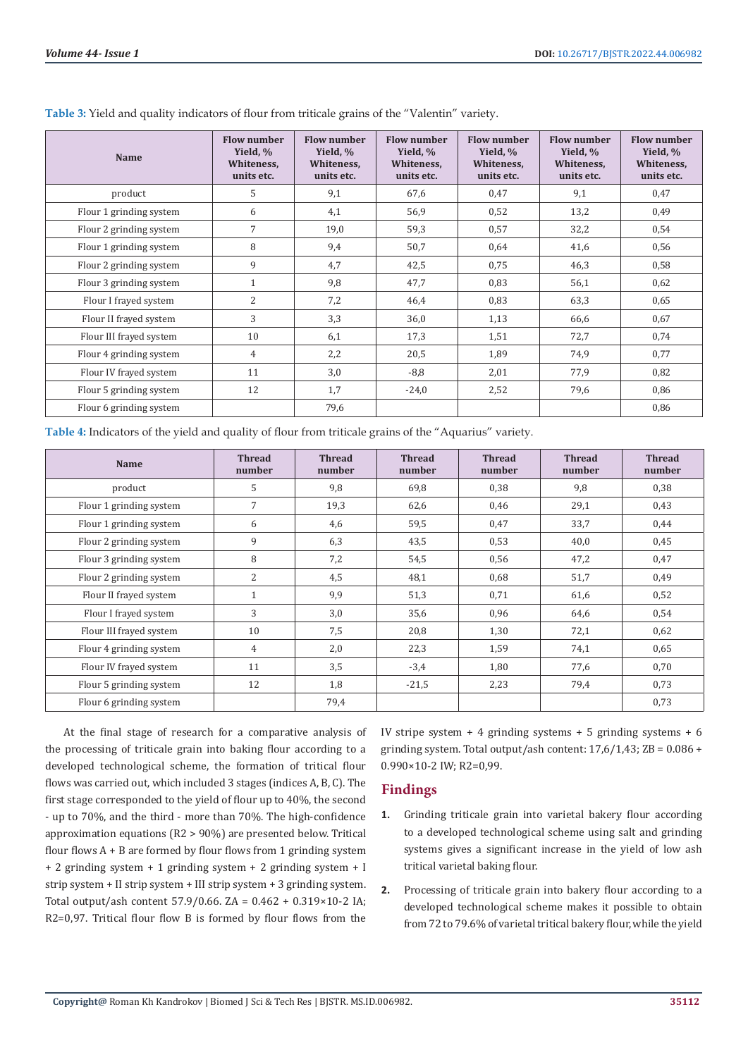| Name                    | <b>Flow number</b><br>Yield, %<br>Whiteness,<br>units etc. | Flow number<br>Yield, %<br>Whiteness,<br>units etc. | <b>Flow number</b><br>Yield, %<br>Whiteness,<br>units etc. | <b>Flow number</b><br>Yield, %<br>Whiteness,<br>units etc. | <b>Flow number</b><br>Yield, %<br>Whiteness,<br>units etc. | <b>Flow number</b><br>Yield, %<br>Whiteness,<br>units etc. |
|-------------------------|------------------------------------------------------------|-----------------------------------------------------|------------------------------------------------------------|------------------------------------------------------------|------------------------------------------------------------|------------------------------------------------------------|
| product                 | 5                                                          | 9,1                                                 | 67,6                                                       | 0,47                                                       | 9,1                                                        | 0,47                                                       |
| Flour 1 grinding system | 6                                                          | 4,1                                                 | 56,9                                                       | 0,52                                                       | 13,2                                                       | 0,49                                                       |
| Flour 2 grinding system | 7                                                          | 19,0                                                | 59,3                                                       | 0,57                                                       | 32,2                                                       | 0,54                                                       |
| Flour 1 grinding system | 8                                                          | 9,4                                                 | 50,7                                                       | 0,64                                                       | 41,6                                                       | 0,56                                                       |
| Flour 2 grinding system | 9                                                          | 4,7                                                 | 42,5                                                       | 0,75                                                       | 46,3                                                       | 0,58                                                       |
| Flour 3 grinding system | $\mathbf{1}$                                               | 9,8                                                 | 47,7                                                       | 0,83                                                       | 56,1                                                       | 0,62                                                       |
| Flour I frayed system   | $\overline{2}$                                             | 7,2                                                 | 46,4                                                       | 0,83                                                       | 63,3                                                       | 0,65                                                       |
| Flour II frayed system  | 3                                                          | 3,3                                                 | 36,0                                                       | 1,13                                                       | 66,6                                                       | 0,67                                                       |
| Flour III frayed system | 10                                                         | 6,1                                                 | 17,3                                                       | 1,51                                                       | 72,7                                                       | 0,74                                                       |
| Flour 4 grinding system | 4                                                          | 2,2                                                 | 20,5                                                       | 1,89                                                       | 74,9                                                       | 0,77                                                       |
| Flour IV frayed system  | 11                                                         | 3,0                                                 | $-8,8$                                                     | 2,01                                                       | 77,9                                                       | 0,82                                                       |
| Flour 5 grinding system | 12                                                         | 1,7                                                 | $-24,0$                                                    | 2,52                                                       | 79,6                                                       | 0,86                                                       |
| Flour 6 grinding system |                                                            | 79,6                                                |                                                            |                                                            |                                                            | 0,86                                                       |

**Table 3:** Yield and quality indicators of flour from triticale grains of the "Valentin" variety.

**Table 4:** Indicators of the yield and quality of flour from triticale grains of the "Aquarius" variety.

| <b>Name</b>             | <b>Thread</b><br>number | <b>Thread</b><br>number | <b>Thread</b><br>number | <b>Thread</b><br>number | <b>Thread</b><br>number | <b>Thread</b><br>number |
|-------------------------|-------------------------|-------------------------|-------------------------|-------------------------|-------------------------|-------------------------|
| product                 | 5                       | 9,8                     | 69,8                    | 0,38                    | 9,8                     | 0,38                    |
| Flour 1 grinding system | $\overline{7}$          | 19,3                    | 62,6                    | 0,46                    | 29,1                    | 0,43                    |
| Flour 1 grinding system | 6                       | 4,6                     | 59,5                    | 0,47                    | 33,7                    | 0,44                    |
| Flour 2 grinding system | 9                       | 6,3                     | 43,5                    | 0,53                    | 40,0                    | 0,45                    |
| Flour 3 grinding system | 8                       | 7,2                     | 54,5                    | 0,56                    | 47,2                    | 0,47                    |
| Flour 2 grinding system | 2                       | 4,5                     | 48,1                    | 0,68                    | 51,7                    | 0,49                    |
| Flour II frayed system  | $\mathbf{1}$            | 9,9                     | 51,3                    | 0,71                    | 61,6                    | 0,52                    |
| Flour I frayed system   | 3                       | 3,0                     | 35,6                    | 0,96                    | 64,6                    | 0,54                    |
| Flour III frayed system | 10                      | 7,5                     | 20,8                    | 1,30                    | 72,1                    | 0,62                    |
| Flour 4 grinding system | 4                       | 2,0                     | 22,3                    | 1,59                    | 74,1                    | 0,65                    |
| Flour IV frayed system  | 11                      | 3,5                     | $-3,4$                  | 1,80                    | 77,6                    | 0,70                    |
| Flour 5 grinding system | 12                      | 1,8                     | $-21,5$                 | 2,23                    | 79,4                    | 0,73                    |
| Flour 6 grinding system |                         | 79,4                    |                         |                         |                         | 0,73                    |

At the final stage of research for a comparative analysis of the processing of triticale grain into baking flour according to a developed technological scheme, the formation of tritical flour flows was carried out, which included 3 stages (indices A, B, C). The first stage corresponded to the yield of flour up to 40%, the second - up to 70%, and the third - more than 70%. The high-confidence approximation equations (R2 > 90%) are presented below. Tritical flour flows  $A + B$  are formed by flour flows from 1 grinding system + 2 grinding system + 1 grinding system + 2 grinding system + I strip system + II strip system + III strip system + 3 grinding system. Total output/ash content 57.9/0.66. ZA = 0.462 + 0.319×10-2 IA; R2=0,97. Tritical flour flow B is formed by flour flows from the

IV stripe system  $+4$  grinding systems  $+5$  grinding systems  $+6$ grinding system. Total output/ash content:  $17,6/1,43$ ; ZB =  $0.086 +$ 0.990×10-2 IW; R2=0,99.

# **Findings**

- **1.** Grinding triticale grain into varietal bakery flour according to a developed technological scheme using salt and grinding systems gives a significant increase in the yield of low ash tritical varietal baking flour.
- **2.** Processing of triticale grain into bakery flour according to a developed technological scheme makes it possible to obtain from 72 to 79.6% of varietal tritical bakery flour, while the yield